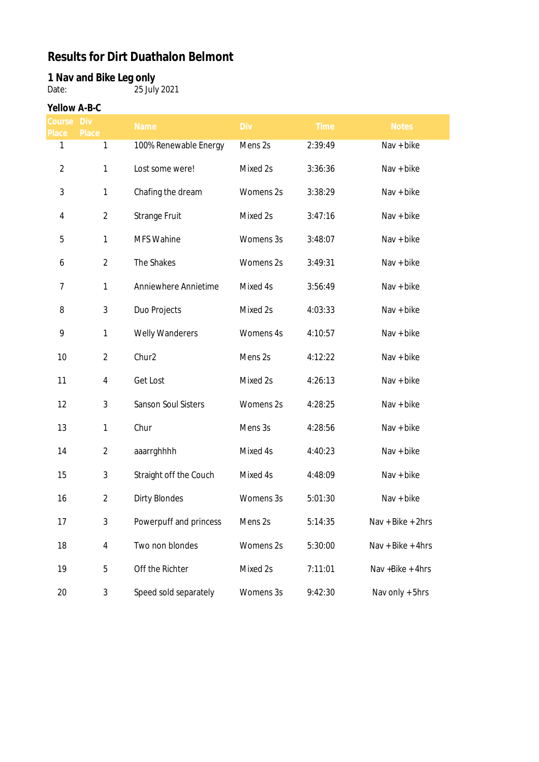## **Results for Dirt Duathalon Belmont**

## **1 Nav and Bike Leg only**

Date: 25 July 2021

## **Yellow A-B-C**

| course<br>Place | Div<br>Place   | Name                   | <b>Div</b> | <b>Time</b> | <b>Notes</b>      |
|-----------------|----------------|------------------------|------------|-------------|-------------------|
| 1               | 1              | 100% Renewable Energy  | Mens 2s    | 2:39:49     | Nav + bike        |
| $\overline{2}$  | 1              | Lost some were!        | Mixed 2s   | 3:36:36     | Nav + bike        |
| $\sqrt{3}$      | $\mathbf{1}$   | Chafing the dream      | Womens 2s  | 3:38:29     | Nav + bike        |
| $\overline{4}$  | $\overline{2}$ | Strange Fruit          | Mixed 2s   | 3:47:16     | Nav + bike        |
| 5               | 1              | <b>MFS Wahine</b>      | Womens 3s  | 3:48:07     | Nav + bike        |
| 6               | $\overline{2}$ | The Shakes             | Womens 2s  | 3:49:31     | Nav + bike        |
| 7               | $\mathbf{1}$   | Anniewhere Annietime   | Mixed 4s   | 3:56:49     | Nav + bike        |
| 8               | 3              | Duo Projects           | Mixed 2s   | 4:03:33     | Nav + bike        |
| 9               | 1              | Welly Wanderers        | Womens 4s  | 4:10:57     | Nav + bike        |
| 10              | $\overline{2}$ | Chur2                  | Mens 2s    | 4:12:22     | Nav + bike        |
| 11              | 4              | Get Lost               | Mixed 2s   | 4:26:13     | Nav + bike        |
| 12              | 3              | Sanson Soul Sisters    | Womens 2s  | 4:28:25     | Nav + bike        |
| 13              | 1              | Chur                   | Mens 3s    | 4:28:56     | Nav + bike        |
| 14              | $\overline{2}$ | aaarrghhhh             | Mixed 4s   | 4:40:23     | Nav + bike        |
| 15              | 3              | Straight off the Couch | Mixed 4s   | 4:48:09     | Nav + bike        |
| 16              | $\overline{2}$ | <b>Dirty Blondes</b>   | Womens 3s  | 5:01:30     | Nav + bike        |
| 17              | 3              | Powerpuff and princess | Mens 2s    | 5:14:35     | Nav + Bike + 2hrs |
| 18              | $\overline{4}$ | Two non blondes        | Womens 2s  | 5:30:00     | Nav + Bike + 4hrs |
| 19              | 5              | Off the Richter        | Mixed 2s   | 7:11:01     | Nav + Bike + 4hrs |
| 20              | $\mathfrak{Z}$ | Speed sold separately  | Womens 3s  | 9:42:30     | Nav only + 5hrs   |